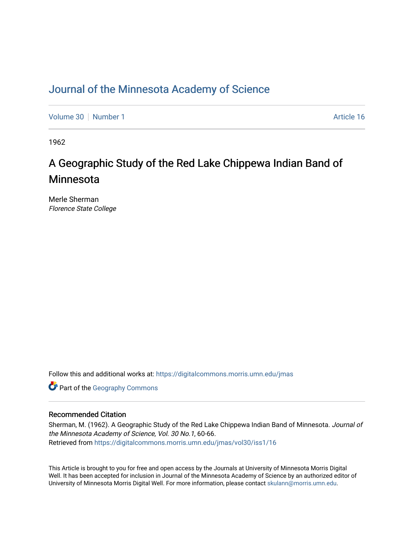### [Journal of the Minnesota Academy of Science](https://digitalcommons.morris.umn.edu/jmas)

[Volume 30](https://digitalcommons.morris.umn.edu/jmas/vol30) [Number 1](https://digitalcommons.morris.umn.edu/jmas/vol30/iss1) Article 16

1962

# A Geographic Study of the Red Lake Chippewa Indian Band of Minnesota

Merle Sherman Florence State College

Follow this and additional works at: [https://digitalcommons.morris.umn.edu/jmas](https://digitalcommons.morris.umn.edu/jmas?utm_source=digitalcommons.morris.umn.edu%2Fjmas%2Fvol30%2Fiss1%2F16&utm_medium=PDF&utm_campaign=PDFCoverPages) 

**Part of the Geography Commons** 

### Recommended Citation

Sherman, M. (1962). A Geographic Study of the Red Lake Chippewa Indian Band of Minnesota. Journal of the Minnesota Academy of Science, Vol. 30 No.1, 60-66. Retrieved from [https://digitalcommons.morris.umn.edu/jmas/vol30/iss1/16](https://digitalcommons.morris.umn.edu/jmas/vol30/iss1/16?utm_source=digitalcommons.morris.umn.edu%2Fjmas%2Fvol30%2Fiss1%2F16&utm_medium=PDF&utm_campaign=PDFCoverPages) 

This Article is brought to you for free and open access by the Journals at University of Minnesota Morris Digital Well. It has been accepted for inclusion in Journal of the Minnesota Academy of Science by an authorized editor of University of Minnesota Morris Digital Well. For more information, please contact [skulann@morris.umn.edu](mailto:skulann@morris.umn.edu).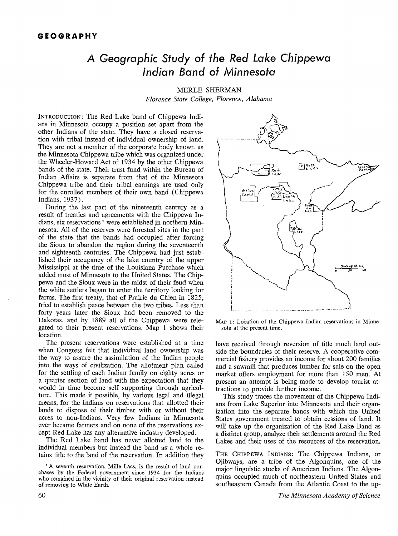## **A Geographic Study of the Red Lake Chippewa Indian Band of Minnesota**

MERLE SHERMAN *Florence State College, Florence, Alabama* 

INTRODUCTION: The Red Lake band of Chippewa Indians in Minnesota occupy a position set apart from the other Indians of the state. They have a closed reservation with tribal instead of individual ownership of land. They are not a member of the corporate body known as the Minnesota Chippewa tribe which was organized under the Wheeler-Howard Act of 1934 by the other Chippewa bands of the state. Their trust fund within the Bureau of Indian Affairs is separate from that of the Minnesota Chippewa tribe and their tribal earnings are used only for the enrolled members of their own band (Chippewa Indians, 1937).

During the last part of the nineteenth century as a result of treaties and agreements with the Chippewa Indians, six reservations<sup>1</sup> were established in northern Minnesota. All of the reserves were forested sites in the part of the state that the bands had occupied after forcing the Sioux to abandon the region during the seventeenth and eighteenth centuries. The Chippewa had just established their occupancy of the lake country of the upper Mississippi at the time of the Louisiana Purchase which added most of Minnesota to the United States. The Chippewa and the Sioux were in the midst of their feud when the white settlers began to enter the territory looking for farms. The first treaty, that of Prairie du Chien in 1825, tried to establish peace between the two tribes. Less than forty years later the Sioux had been removed to the Dakotas, and by 1889 all of the Chippewa were relegated to their present reservations. Map 1 shows their location.

The present reservations were established at a time when Congress felt that individual land ownership was the way to assure the assimilation of the Indian people into the ways of civilization. The allotment plan called for the settling of each Indian family on eighty acres or a quarter section of land with the expectation that they would in time become self supporting through agriculture. This made it possible, by various legal and illegal means, for the Indians on reservations that allotted their lands to dispose of their timber with or without their acres to non-Indians. Very few Indians in Minnesota ever became farmers and on none of the reservations except Red Lake has any alternative industry developed.

The Red Lake band has never allotted land to the individual members but instead the band as a whole retains title to the land of the reservation. In addition they



MAP 1: Location of the Chippewa Indian reservations in Minnesota at the present time.

have received through reversion of title much land outside the boundaries of their reserve. A cooperative commercial fishery provides an income for about 200 families and a sawmill that produces lumber for sale on the open market offers employment for more than 150 men. At present an attempt is being made to develop tourist attractions to provide further income.

This study traces the movement of the Chippewa Indians from Lake Superior into Minnesota and their organization into the separate bands with which the United States government treated to obtain cessions of land. It will take up the organization of the Red Lake Band as a distinct group, analyze their settlements around the Red Lakes and their uses of the resources of the reservation.

THE CHIPPEWA INDIANS: The Chippewa Indians, or Ojibways, are a tribe of the Algonquins, one of the major linguistic stocks of American Indians. The Algonquins occupied much of northeastern United States and southeastern Canada from the Atlantic Coast to the up-

<sup>&</sup>lt;sup>1</sup>A seventh reservation, Mille Lacs, is the result of land pur-. chases by the Federal government since 1934 for the Indians who remained in the vicinity of their original reservation instead of removing to White Earth.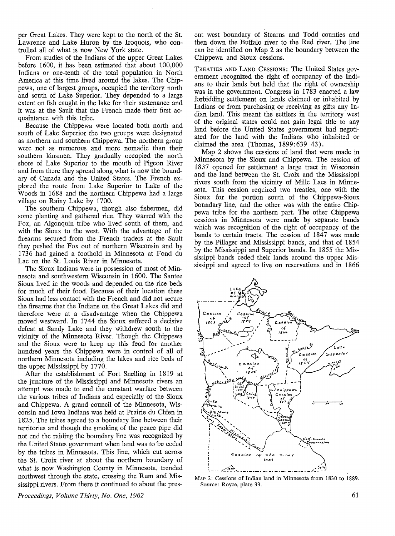per Great Lakes. They were kept to the north of the St. Lawrence and Lake Huron by the Iroquois, who controlled all of what is now New York state.

From studies of the Indians of the upper Great Lakes before  $1600$ , it has been estimated that about  $100,000$ Indians or one-tenth of the total population in North America at this time lived around the lakes. The Chippewa, one of largest groups, occupied the territory north and south of Lake Superior. They depended to a large extent on fish caught in the lake for their sustenance and it was at the Sault that the French made their first acquaintance with this tribe.

Because the Chippewa were located both north and south of Lake Superior the two groups were designated as northern and southern Chippewa. The northern group were not as numerous and more nomadic than their southern kinsmen. They gradually occupied the north shore of Lake Superior to the mouth of Pigeon River and from there they spread along what is now the boundary of Canada and the United States. The French explored the route from Lake Superior to Lake of the Woods in 1688 and the northern Chippewa had a large village on Rainy Lake by 1700.

The southern Chippewa, though also fishermen, did some planting and gathered rice. They warred with the Fox, an Algonquin tribe who lived south of them, and with the Sioux to the west. With the advantage of the firearms secured from the French traders at the Sault they pushed the Fox out of northern Wisconsin and by 1736 had gained a foothold in Minnesota at Fond du Lac on the St. Louis River in Minnesota.

The Sioux Indians were in possession of most of Minnesota and southwestern Wisconsin in 1600. The Santee Sioux lived in the woods and depended on the rice beds for much of their food. Because of their location these Sioux had less contact with the French and did not secure the firearms that the Indians on the Great Lakes did and therefore were at a disadvantage when the Chippewa moved westward. In 1744 the Sioux suffered a decisive defeat at Sandy Lake and they withdrew south to the vicinity of the Minnesota River. Though the Chippewa and the Sioux were to keep up this feud for another hundred years the Chippewa were in control of all of northern Minnesota including the lakes and rice beds of the upper Mississippi by 1770.

After the establishment of Fort Snelling in 1819 at the juncture of the Mississippi and Minnesota rivers an attempt was made to end the constant warfare between the various tribes of Indians and especially of the Sioux and Chippewa. A grand council of the Minnesota, Wisconsin and Iowa Indians was held at Prairie du Chien in 1825. The tribes agreed to a boundary line between their territories and though the smoking of the peace pipe did not end the raiding the boundary line was recognized by the United States government when land was to·be ceded by the tribes in Minnesota. This line, which cut across the St. Croix river at about the northern boundary of what is now Washington County in Minnesota, trended northwest through the state, crossing the Rum and Mississippi rivers. From there it continued to about the present west boundary of Stearns and Todd counties and then down the Buffalo river to the Red river. The line can be identified on Map 2 as the boundary between the Chippewa and Sioux cessions.

TREATIES AND LAND CESSIONS: The United States government recognized the right of occupancy of the Indians to their lands but held that the right of ownership was in the government. Congress in 1783 enacted a law forbidding settlement on lands claimed or inhabited by Indians or from purchasing or receiving as gifts any Indian land. This meant the settlers in the territory west of the original states could not gain legal title to any land before the United States government had negotiated for the land with the Indians who inhabited or claimed the area (Thomas, 1899:639-43).

Map 2 shows the cessions of land that were made in Minnesota by the Sioux and Chippewa. The cession of 1837 opened for settlement a large tract in Wisconsin and the land between the St. Croix and the Mississippi rivers south from the vicinity of Mille Lacs in Minnesota. This cession required two treaties, one with the Sioux for the portion south of the Chippewa-Sioux boundary line, and the other was with the entire Chippewa tribe for the northern part. The other Chippewa cessions in Minnesota were made by separate bands which was recognition of the right of occupancy of the bands to certain tracts. The cession of 1847 was made by the Pillager and Mississippi bands, and that of 1854 by the Mississippi and Superior bands. In 1855 the Mississippi bands ceded their lands around the upper Mississippi and agreed to live on reservations and in 1866



MAP 2: Cessions of Indian land in Minnesota from 1830 to 1889. Source: Royce, plate 33.

*Proceedings, Volume Thirty, No. One, 1962*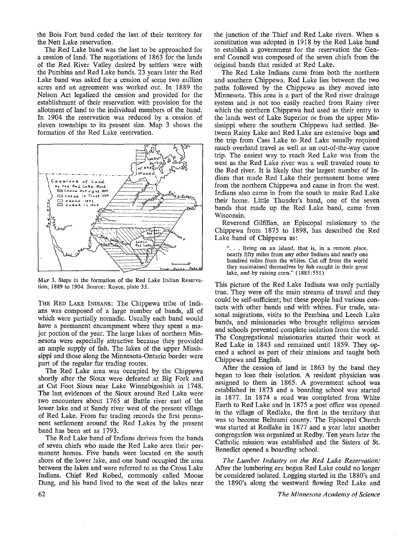the Bois Fort band ceded the last of their territory for the Nett Lake reservation.

The Red Lake band was the last to be approached for a cession of land. The negotiations of 1863 for the lands of the Red River Valley desired by settlers were with the Pembina and Red Lake bands. 23 years later the Red Lake band was asked for a cession of some two million acres and an agreement was worked out. In 1889 the Nelson Act legalized the cession and provided for the establishment of their reservation with provision for the allotment of land to the individual members of the band. In 1904 the reservation was reduced by a cession of eleven townships to its present size. Map 3 shows the formation of the Red Lake reservation.



MAP 3. Steps in the formation of the Red Lake Indian Reservation, 1889 to 1904. Source: Royce, plate 35.

THE RED LAKE INDIANS: The Chippewa tribe of Indians was composed of a large number of bands, all of which were partially nomadic. Usually each band would have a permanent encampment where they spent a major portion of the year. The large lakes of northern Minnesota were especially attractive because they provided an ample supply of fish. The lakes of the upper Mississippi and those along the Minnesota-Ontario border were part of the regular fur trading routes.

The Red Lake area was occupied by the Chippewa shortly after the Sioux were defeated at Big Fork and at Cut Foot Sioux near Lake Winnebigoshish in 1748. The last, evidences of the Sioux around Red Lake were two encounters about 1765 at Battle river east of the lower lake and at Sandy river west of the present village of Red Lake. From fur trading records the first permanent settlement around the Red Lakes by the present band has been set as 1793.

The Red Lake band of Indians derives from the bands of seven chiefs who made the Red Lake area their permanent homes. Five bands were located on the south shore of the lower lake, and one band occupied the area between the lakes and were referred to as the Cross Lake Indians. Chief Red Robed, commonly called Moose Dung, and his band lived to the west of the lakes near the junction of the Thief and Red Lake rivers. When a constitution was adopted in 1918 by the Red Lake band to establish a government for the reservation the General Council was composed of the seven chiefs from the original bands that resided at Red Lake.

The Red Lake Indians came from both the northern and southern Chippewa. Red Lake lies between the two paths followed by the Chippewa as they moved into Minnesota. This area is a part of the Red river drainage system and is not too easily reached from Rainy river which the northern Chippewa had used as their entry to the lands west of Lake Superior or from the upper Mississippi where the southern Chippewa had settled. Between Rainy Lake and Red Lake are extensive bogs and the trip from Cass Lake to Red Lake usually required much overland travel as well as an out-of-the-way canoe trip. The easiest way to reach Red Lake was from the west as the Red Lake river was a well traveled route to the Red river. It is likely that the largest number of Indians that made Red Lake their permanent home were from the northern Chippewa and came in from the west. Indians also came in from the south to make Red Lake their home. Little Thunder's band, one of the seven bands that made up the Red Lake band, came from Wisconsin.

Reverend Gilfillan, an Episcopal missionary to the Chippewa from 1875 to 1898, has described the Red Lake band of Chippewa as:

"... living on an island, that is, in a remote place, nearly fifty miles from any other Indians and nearly one hundred miles from the whites. Cut off from the world they maintained themselves by fish caught in their great lake, and by raising corn." (1885:551)

This picture of the Red Lake Indians was only partially true. They were off the main streams of travel and they could be self-sufficient; but these people had various contacts with other bands and with whites. Fur trade, seasonal migrations, visits to the Pembina and Leech Lake bands, and missionaries who brought religious services and schools prevented complete isolation from the world. The Congregational missionaries started their work at Red Lake in 1843 and remained until 1859. They opened a school as part of their missions and taught both Chippewa and English.

After the cession of land in 1863 by the band they began to lose their isolation. A resident physician was assigned to them in 1865. **A** government school was established in 1873 and a boarding school was started in 1877. In 1874 a road was completed from White Earth to Red Lake and in 1875 a post office was opened in the village of Redlake, the first in the territory that was to become Beltrami county. The Episcopal Church was started at Redlake in 1877 and a year later another congregation was organized at Redby. Ten years later the Catholic mission was established and the Sisters of **St.**  Benedict opened a boarding school.

*The Lumber Industry on the Red Lake Reservation:*  After the lumbering era began Red Lake could no longer be considered isolated. Logging started in the 1880's and the 1890's along the westward flowing Red Lake and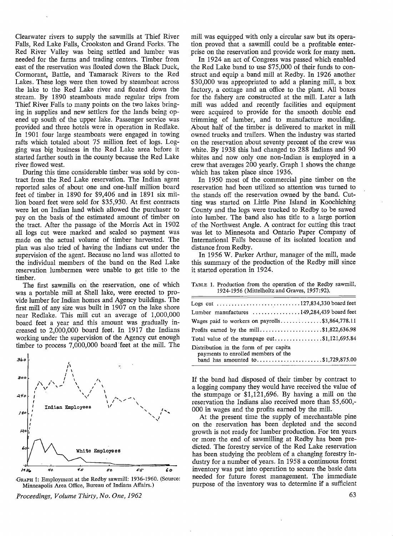Clearwater rivers to supply the sawmills at Thief River Falls, Red Lake Falls, Crookston and Grand Forks. The Red River Valley was being settled and lumber was needed for the farms and trading centers. Timber from east of the reservation was floated down the Black Duck, Cormorant, Battle, and Tamarack Rivers to the Red Lakes. These logs were then towed by steamboat across the lake to the Red Lake river and floated down the stream. By 1890 steamboats made regular trips from Thief River Falls to many points on the two lakes bringing in supplies and new settlers for the lands being opened up south of the upper lake. Passenger service was provided and three hotels were in operation in Redlake. In 1901 four large steamboats were engaged in towing rafts which totaled about 75 million feet of logs. Logging was big business in the Red Lake area before it started farther south in the county because the Red Lake river flowed west.

During this time considerable timber was sold by contract from the Red Lake reservation. The Indian agent reported sales of about one and one-half million board feet of timber in 1890 for \$9,406 and in 1891 six million board feet were sold for \$35,930. At first contracts were let on Indian land which allowed the purchaser to pay on the basis of the estimated amount of timber on the tract. After the passage of the Morris Act in 1902 all logs cut were marked and scaled so payment was made on the actual volume of timber harvested. The plan was also tried of having the Indians cut under the supervision of the agent. Because no land was allotted to the individual members of the band on the Red Lake reservation lumbermen were unable to get title to the timber.

The first sawmills on the reservation, one of which was a portable mill at Shell lake, were erected to provide lumber for Indian homes and Agency buildings. The first mill of any size was built in 1907 on the lake shore near Redlake. This mill cut an average of 1,000,000 board feet a year and this amount was gradually increased to 2,000,000 board feet. In 1917 the Indians working under the supervision of the Agency cut enough timber to process  $7,000,000$  board feet at the mill. The



•GRAPH 1: Employment at the Redby sawmill: 1936-1960. (Source: Minneapolis Area Office, Bureau of Indians Affairs.)

*Proceedings, Volume Thirty, No. One, 1962* 

mill was equipped with only a circular saw but its operation proved that a sawmill could be a profitable enterprise on the reservation and provide work for many men.

In 1924 an act of Congress was passed which enabled the Red Lake band to use \$75,000 of their funds to construct and equip a band mill at Redby. In 1926 another \$30,000 was appropriated to add a planing mill, a box factory, a cottage and an office to the plant. All boxes for the fishery are constructed at the mill. Later a lath mill was added and recently facilities and equipment were acquired to provide for the smooth double end trimming of lumber, and to manufacture moulding. About half of the timber is delivered to market in mill owned trucks and trailers. When the industry was started on the reservation about seventy percent of the crew was white. By 1938 this had changed to 288 Indians and 90 whites and now only one non-Indian is employed in a crew that averages 200 yearly. Graph 1 shows the change which has taken place since 1936.

In 1950 most of the commercial pine timber on the reservation had been utilized so attention was turned to the stands off the reservation owned by the band. Cutting was started on Little Pine Island in Koochiching County and the logs were trucked to Redby to be sawed into lumber. The band also has title to a large portion of the Northwest Angle. A contract for cutting this tract was let to Minnesota and Ontario Paper Company of International Falls because of its isolated location and distance from Redby.

In 1956 W. Parker Arthur, manager of the mill, made this summary of the production of the Redby mill since it started operation in 1924.

| Logs cut 127,834,330 board feet                                                                                     |  |  |
|---------------------------------------------------------------------------------------------------------------------|--|--|
| Lumber manufactures 149,284,439 board feet                                                                          |  |  |
| Wages paid to workers on payrolls\$3,864,778.11                                                                     |  |  |
| Profits earned by the mill\$1,822,636.98                                                                            |  |  |
| Total value of the stumpage $cut$ \$1,121,695.84                                                                    |  |  |
| Distribution in the form of per capita<br>payments to enrolled members of the<br>band has amounted to\$1,729,875.00 |  |  |

TABLE 1. Production from the operation of the Redby sawmill, 1924-1956 (Mittelholtz and Graves, 1957:92).

If the band had disposed of their timber by contract to a logging company they would have received the value of the stumpage or \$1,121,696. By having a mill on the reservation the Indians also received more than \$5,600,- 000 in wages and the profits earned by the mill.

At the present time the supply of merchantable pine on the reservation has been depleted and the second growth is not ready for lumber production. For ten years or more the end of sawmilling at Redby has been predicted. The forestry service of the Red Lake reservation has been studying the problem of a changing forestry industry for a number of years. In 1958 a continuous forest inventory was put into operation to secure the basic data needed for future forest management. The immediate purpose of the inventory was to determine if a sufficient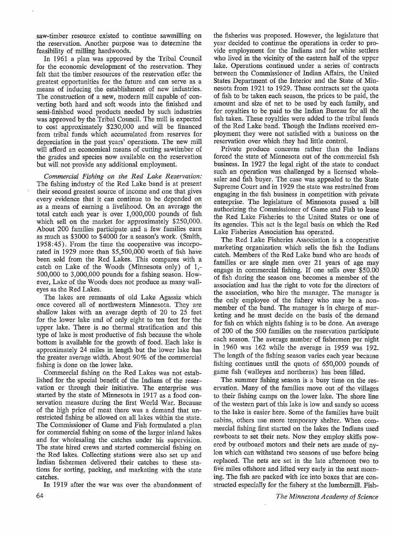saw-timber resource existed to continue sawmilling on the reservation. Another purpose was to determine the feasibility of milling hardwoods.

In 1961 a plan was approved by the Tribal Council for the economic development of the reservation. They felt that the timber resources of the reservation offer the greatest opportunities for the future and can serve as a means of inducing the establishment of new industries. The construction of a new, modern mill capable of converting both hard and soft woods into the finished and semi-finished wood products needed by such industries was approved by the Tribal Council. The mill is expected to cost approximately \$230,000 and will be financed from tribal funds which accumulated from reserves for depreciation in the past years' operations. The new mill will afford an economical means of cutting sawtimber of the grades and species now available on the reservation but will not provide any additional employment.

*Commercial Fishing on the Red Lake Reservation:*  The fishing industry of the Red Lake band is at present their second greatest source of income and one that gives every evidence that it can continue to be depended on as a means of earning a livelihood. On an average the total catch each year is over 1,000,000 pounds of fish which sell on the market for approximately \$250,000. About 200 families participate and a few families earn as much as \$3000 to \$4000 for a season's work. (Smith, 1958:45). From the time the cooperative was incorporated in 1929 more than \$5,500,000 worth of fish have been sold from the Red Lakes. This compares with a catch on Lake of the Woods (Minnesota only) of 1,- 500,000 to 3,000,000 pounds for a fishing season. However, Lake of the Woods does not produce as many walleyes as the Red Lakes.

The lakes are remnants of old Lake Agassiz which once covered all of northwestern Minnesota. They are shallow lakes with an average depth of 20 to 25 feet for the lower lake and of only eight to ten feet for the upper lake. There is no thermal stratification and this type of lake is most productive of fish because the whole bottom is available for the growth of food. Each lake is approximately 24 miles in length but the lower lake has the greater average width. About 90% of the commercial fishing is done on the lower lake.

Commercial fishing on the Red Lakes was not established for the special benefit of the Indians of the reservation or through their initiative. The enterprise was started by the state of Minnesota in 1917 as a food conservation measure during the first World War. Because of the high price of meat there was a demand that unrestricted fishing be allowed on all lakes within the state. The Commissioner of Game and Fish formulated a plan for commercial fishing on some of the larger inland lakes and for wholesaling the catches under his supervision. The state hired crews and started commercial fishing on the Red lakes. Collecting stations were also set up and Indian fishermen delivered their catches to these stations for sorting, packing, and marketing with the state catches.

In 1919 after the war was over the abandonment of

64

the fisheries was proposed. However, the legislature that year decided to continue the operations in order to provide employment for the Indians and for white settlers who lived in the vicinity of the eastern half of the upper lake. Operations continued under a series of contracts between the Commissioner of Indian Affairs, the United States Department of the Interior and the State of Minnesota from 1921 to 1929. These contracts set the quota of fish to be taken each season, the prices to be paid, the amount and size of net to be used by each family, and for royalties to be paid to, the Indian Bureau for all the fish taken. These royalties were added to the tribal funds of the Red Lake band. Though the Indians received employment they were not satisfied with a business on the reservation over which they had little control.

Private produce concerns rather than the Indians forced the state of Minnesota out of the commercial fish business. In 1927 the legal right of the state to conduct such an operation was challenged by a licensed wholesaler and fish buyer. The case was appealed to the State Supreme Court and in 1929 the state was restrained from engaging in the fish business in competition with private enterprise. The legislature of Minnesota passed a bill authorizing the Commissioner of Game and Fish to lease the Red Lake Fisheries to the United States or one of its agencies. This act is the legal basis on which the Red Lake Fisheries Association has operated.

The Red Lake Fisheries Association is a cooperative marketing organization which sells the fish the Indians catch. Members of the Red Lake band who are heads of families or are single men over 21 years of age may engage in commercial fishing. If one sells over \$50.00 of fish during the season one. becomes a member of the association and has the right to vote for the directors of the association, who hire the manager. The manager is the only employee of the fishery who may be a nonmember of the band. The manager is in charge of marketing and he must decide on the basis of the demand for fish on which nights fishing is to be done. An average of 200 of the 500 families on the reservation participate each season. The average number of fishermen per night in 1960 was 162 while the average in 1959 was 192. The length of the fishing season varies each year because fishing continues until the quota of 650,000 pounds of game fish (walleyes and northerns) has been filled.

The summer fishing season is a busy time on the reservation. Many of the families move out of the villages to their fishing camps on the lower lake. The shore line of the western part of this lake is low and sandy so access to the lake is easier here. Some of the families have built cabins, others use more temporary shelter. When commercial fishing first started on the lakes the Indians used rowboats to set their nets. Now they employ skiffs powered by outboard motors and their nets are made of nylon which can withstand two seasons of use before being replaced. The nets are set in the late afternoon two to five miles offshore and lifted very early in the next morning. The fish are packed with ice into boxes that are constructed especially for the fishery at the lumbermill. Fish-

*T he Minnesota Academy of Science*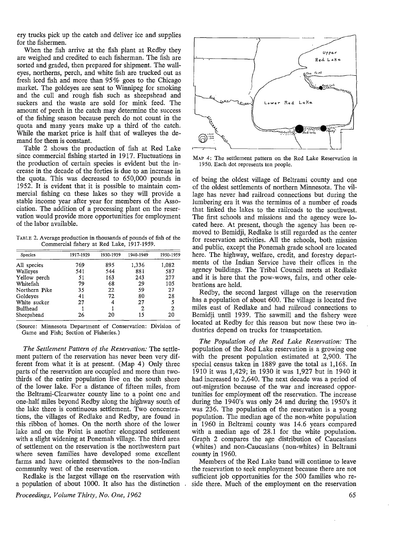ery trucks pick up the catch and deliver ice and supplies for the fishermen.

When the fish arrive at the fish plant at Redby they are weighed and credited to each fisherman. The fish are sorted and graded, then prepared for shipment. The walleyes, northerns, perch, and white fish are trucked out as fresh iced fish and more than 95 % goes to the Chicago market. The goldeyes are sent to Winnipeg for smoking and the cull and rough fish such as sheepshead and suckers and the waste are sold for mink feed. The amount of perch in the catch may determine the success of the fishing season because perch do not count in the quota and many years make up a third of the catch. While the market price is half that of walleyes the demand for them is constant.

Table 2 shows the production of fish at Red Lake since commercial fishing started in 1917. Fluctuations in the production of certain species is evident but the increase in the decade of the forties is due to an increase in the quota. This was decreased to 650,000 pounds in 1952. It is evident that it is possible to maintain commercial fishing on these lakes so they will provide a stable income year after year for members of the Association. The addition of a processing plant on the reservation would provide more opportunities for employment of the labor available.

TABLE 2. Average production in thousands of pounds of fish of the Commercial fishery at Red Lake, 1917-1959.

| Species       | 1917-1929 | 1930-1939 | 1940-1949 | 1950-1959 |  |
|---------------|-----------|-----------|-----------|-----------|--|
| All species   | 769       | 895       | 1,336     | 1,082     |  |
| Walleyes      | 541       | 544       | 881       | 587       |  |
| Yellow perch  | 51        | 163       | 243       | 277       |  |
| Whitefish     | 79        | 68        | 29        | 105       |  |
| Northern Pike | 35        | 22        | 59        | 27        |  |
| Goldeves      | 41        | 72        | 80        | 28        |  |
| White sucker  | 27        | 4         | 27        |           |  |
| Bullhead      |           |           | 2         | 2         |  |
| Sheepshead    | 26        | 20        | 15        | 20        |  |
|               |           |           |           |           |  |

(Source: Minnesota Department of Conservation: Division of Game and Fish; Section of Fisheries.)

*The Settlement Pattern of the Reservation:* The settlement pattern of the reservation has never been very different from what it is at present. (Map 4) Only three parts of the reservation are occupied and more than twothirds of the entire population live on the south shore of the lower lake. For a distance of fifteen miles, from the Beltrami-Clearwater county line to a point one and one-half miles beyond Redby along the highway south of the lake there is continuous settlement. Two concentrations, the villages of Redlake and Redby, are found in this ribbon of homes. On the north shore of the lower lake and on the Point is another elongated settlement with a slight widening at Ponemah village. The third area of settlement on the reservation is the northwestern part where seven families have developed some excellent farms and have oriented themselves to the non-Indian community west of the reservation.

Redlake is the largest village on the reservation with a population of about 1000. It also has the distinction



MAP 4: The settlement pattern on the Red Lake Reservation in 1950. Each dot represents ten people.

of being the oldest village of Beltrami county and one of the oldest settlements of northern Minnesota. The village has never had railroad connections but during the lumbering era it was the terminus of a number of roads that linked the lakes to the railroads to the southwest. The first schools and missions and the agency were located here. At present, though the agency has been removed to Bemidji, Redlake is still regarded as the center for reservation activities. All the schools, both mission and public, except the Ponemah grade school are located here. The highway, welfare, credit, and forestry departments of the Indian Service have their offices in the agency buildings. The Tribal Council meets at Redlake and it is here that the pow-wows, fairs, and other celebrations are held.

Redby, the second largest village on the reservation has a population of about 600. The village is located five miles east of Redlake and had railroad connections to Bemidji until 1939. The sawmill and the fishery were located at Redby for this reason but now these two industries depend on trucks for transportation.

*The Population of the Red Lake Reservation:* The population of the Red Lake reservation is a growing one with the present population estimated at 2,900. The special census taken in 1889 gave the total as 1,168. In 1910 it was 1,429; in 1930 it was 1,927 but in 1940 it had increased to 2,640. The next decade was a period of out-migration because of the war and increased opportunities for employment off the reservation. The increase during the 1940's was only 24 and during the, 1950's it was 236. The population of the reservation is a young population. The median age of the non-white population in 1960 in Beltrami county was 14.6 years compared with a median age of 28.1 for the white population. Graph 2 compares the age distribution of Caucasians (whites) and non-Caucasians (non-whites) in Beltrami county in 1960.

Members of the Red Lake band will continue to leave the reservation to seek employment because there are not sufficient job opportunities for the 500 families who reside there. Much of the employment on the reservation